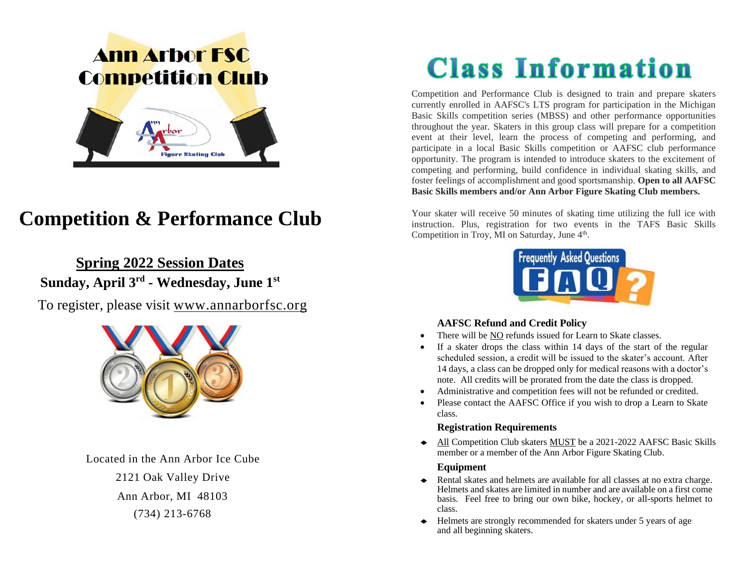# **Ann Arbor FSC Competition Club**



# **Competition & Performance Club**

### **Spring 2022 Session Dates**

**Sunday, April 3 rd - Wednesday, June 1st**

To register, please visit [www.annarborfsc.org](http://www.annarborfsc.org/)



Located in the Ann Arbor Ice Cube

2121 Oak Valley Drive Ann Arbor, MI 48103 (734) 213-6768

# **Class Information**

Competition and Performance Club is designed to train and prepare skaters currently enrolled in AAFSC's LTS program for participation in the Michigan Basic Skills competition series (MBSS) and other performance opportunities throughout the year. Skaters in this group class will prepare for a competition event at their level, learn the process of competing and performing, and participate in a local Basic Skills competition or AAFSC club performance opportunity. The program is intended to introduce skaters to the excitement of competing and performing, build confidence in individual skating skills, and foster feelings of accomplishment and good sportsmanship. **Open to all AAFSC Basic Skills members and/or Ann Arbor Figure Skating Club members.**

Your skater will receive 50 minutes of skating time utilizing the full ice with instruction. Plus, registration for two events in the TAFS Basic Skills Competition in Troy, MI on Saturday, June 4<sup>th</sup>.



#### **AAFSC Refund and Credit Policy**

- There will be NO refunds issued for Learn to Skate classes.
- If a skater drops the class within 14 days of the start of the regular scheduled session, a credit will be issued to the skater's account. After 14 days, a class can be dropped only for medical reasons with a doctor's note. All credits will be prorated from the date the class is dropped.
- Administrative and competition fees will not be refunded or credited.
- Please contact the AAFSC Office if you wish to drop a Learn to Skate class.

#### **Registration Requirements**

◆ All Competition Club skaters MUST be a 2021-2022 AAFSC Basic Skills member or a member of the Ann Arbor Figure Skating Club.

#### **Equipment**

- ◆ Rental skates and helmets are available for all classes at no extra charge. Helmets and skates are limited in number and are available on a first come basis. Feel free to bring our own bike, hockey, or all-sports helmet to class.
- ◆ Helmets are strongly recommended for skaters under 5 years of age and all beginning skaters.